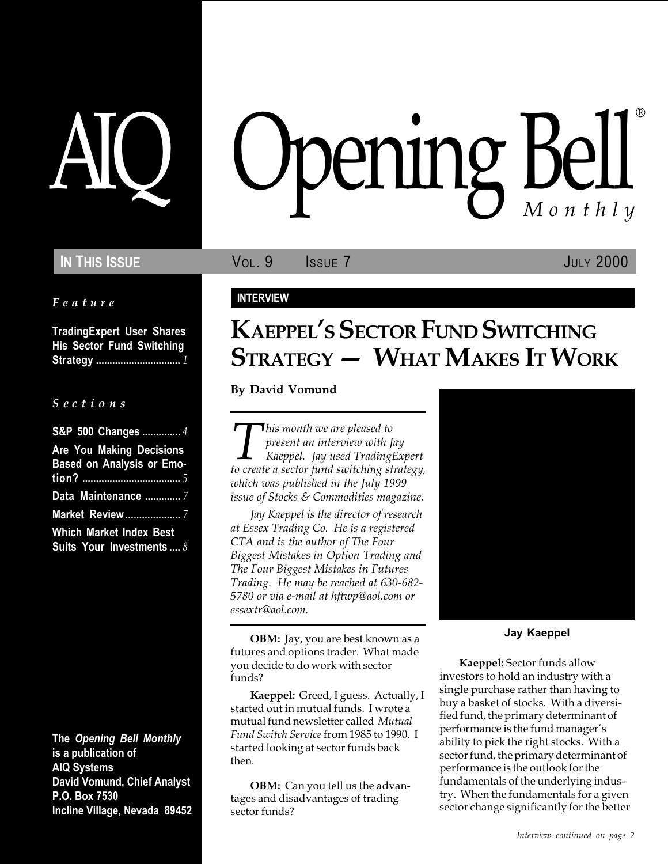## **IN THIS ISSUE VOL. 9** ISSUE 7 **JULY 2000**

Feature

TradingExpert User Shares His Sector Fund Switching Strategy ............................... 1

#### S e c t i o n s

| S&P 500 Changes  4               |
|----------------------------------|
| Are You Making Decisions         |
| <b>Based on Analysis or Emo-</b> |
|                                  |
| Data Maintenance  7              |
| <b>Market Review </b> 7          |
| <b>Which Market Index Best</b>   |
| Suits Your Investments  8        |

The Opening Bell Monthly is a publication of AIQ Systems David Vomund, Chief Analyst P.O. Box 7530 Incline Village, Nevada 89452

# AIQ Opening Bell ®

#### INTERVIEW

## KAEPPEL'S SECTOR FUND SWITCHING  $S$ TRATEGY — WHAT MAKES IT WORK

#### By David Vomund

This month we are pleased to<br>present an interview with Jay<br>to create a sector fund switching strategy, present an interview with Jay Kaeppel. Jay used TradingExpert which was published in the July 1999 issue of Stocks & Commodities magazine.

Jay Kaeppel is the director of research at Essex Trading Co. He is a registered CTA and is the author of The Four Biggest Mistakes in Option Trading and The Four Biggest Mistakes in Futures Trading. He may be reached at 630-682- 5780 or via e-mail at hftwp@aol.com or essextr@aol.com.

OBM: Jay, you are best known as a futures and options trader. What made you decide to do work with sector funds?

Kaeppel: Greed, I guess. Actually, I started out in mutual funds. I wrote a mutual fund newsletter called Mutual Fund Switch Service from 1985 to 1990. I started looking at sector funds back then.

**OBM:** Can you tell us the advantages and disadvantages of trading sector funds?



Jay Kaeppel

Kaeppel: Sector funds allow investors to hold an industry with a single purchase rather than having to buy a basket of stocks. With a diversified fund, the primary determinant of performance is the fund manager's ability to pick the right stocks. With a sector fund, the primary determinant of performance is the outlook for the fundamentals of the underlying industry. When the fundamentals for a given sector change significantly for the better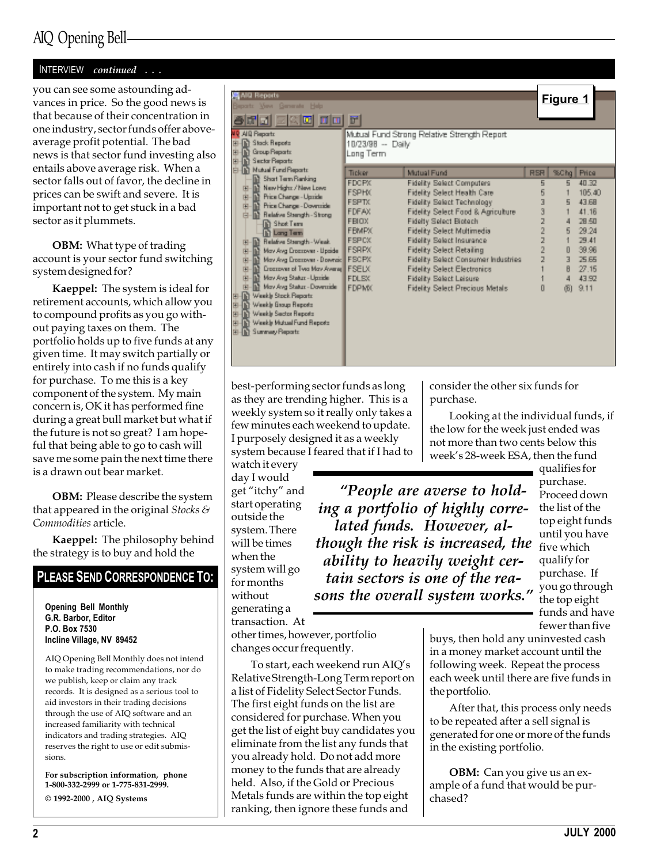## AIQ Opening Bell

#### INTERVIEW continued . . .

you can see some astounding advances in price. So the good news is that because of their concentration in one industry, sector funds offer aboveaverage profit potential. The bad news is that sector fund investing also entails above average risk. When a sector falls out of favor, the decline in prices can be swift and severe. It is important not to get stuck in a bad sector as it plummets.

OBM: What type of trading account is your sector fund switching system designed for?

Kaeppel: The system is ideal for retirement accounts, which allow you to compound profits as you go without paying taxes on them. The portfolio holds up to five funds at any given time. It may switch partially or entirely into cash if no funds qualify for purchase. To me this is a key component of the system. My main concern is, OK it has performed fine during a great bull market but what if the future is not so great? I am hopeful that being able to go to cash will save me some pain the next time there is a drawn out bear market.

OBM: Please describe the system that appeared in the original Stocks  $\mathcal S$ Commodities article.

Kaeppel: The philosophy behind the strategy is to buy and hold the

#### PLEASE SEND CORRESPONDENCE TO:

Opening Bell Monthly G.R. Barbor, Editor P.O. Box 7530 Incline Village, NV 89452

AIQ Opening Bell Monthly does not intend to make trading recommendations, nor do we publish, keep or claim any track records. It is designed as a serious tool to aid investors in their trading decisions through the use of AIQ software and an increased familiarity with technical indicators and trading strategies. AIQ reserves the right to use or edit submissions.

For subscription information, phone 1-800-332-2999 or 1-775-831-2999.  $\odot$  1992-2000 , AIQ Systems

| ANG Reports<br><b>Your Generate Help</b><br>三只回<br><b>FOR</b>                                      |                                |                                             |            | Figure 1 |        |
|----------------------------------------------------------------------------------------------------|--------------------------------|---------------------------------------------|------------|----------|--------|
| MIR AILI Reports<br><b>In Stack Reports</b><br>Group Reports<br>開<br><b>In Sector Reports</b><br>蘭 | 18/23/98 -- Daily<br>Long Term | Mutual Fund Strong Relative Strength Report |            |          |        |
| <b>In Nutual Fund Reports</b>                                                                      | Ticker                         | Mutual Fund                                 | <b>RSR</b> | %Chg     | Price  |
| <b>Short Term Ranking</b>                                                                          | <b>FDCPX</b>                   | Fidelity Select Computers                   | 5          | 5        | 40.32  |
| New Highs / New Lows<br>陈                                                                          | <b>FSPHX</b>                   | Fidelity Select Health Care                 | Б          |          | 105.40 |
| Price Change - Upside<br>由<br>Price Change - Doverside                                             | <b>FSPTX</b>                   | Fidelity Select Technology                  |            | 5        | 43.6B  |
| 由<br>Relative Strength - Strong<br>胄                                                               | FDFAX                          | Fidelity Select Food & Agriculture          |            |          | 41.18  |
| <b>B</b> Shot Tem                                                                                  | <b>FBIOX</b>                   | Fidelty Select Biotech                      |            |          | 28.50  |
| <b>In Long Term</b>                                                                                | <b>FBMPX</b>                   | Fidelity Select Multimedia                  |            |          | 29.24  |
| Relative Strength - Weak.<br>田                                                                     | <b>FSPCX</b>                   | Fidelity Select Insurance                   |            |          | 29.41  |
| May Avig Eroczower - Upaide<br>曲                                                                   | <b>FSRPX</b>                   | <b>Fidelity Select Retailing</b>            |            | O        | 39.96  |
| May Ang Ensesswer - Downaic FSCPX<br>由                                                             |                                | Fidelity Select Consumer Industries         |            |          | 25.65  |
| <b>Discussion of Two May Ayerse FSELX</b><br>由                                                     |                                | <b>Fidelity Select Electronics</b>          |            |          | 27.15  |
| May Avg Status - Upside<br>幽                                                                       | <b>FDLSX</b>                   | Fidelity Select Leisure                     |            |          | 43.97  |
| May Avg Status - Dovesside                                                                         | <b>FDPMX</b>                   | Fidelity Select Precious Metals             |            | ďЫ       | 9.11   |
| Weekly Stock Reports<br>m<br>開                                                                     |                                |                                             |            |          |        |
| Weekly Exoup Reports<br>開                                                                          |                                |                                             |            |          |        |
| <b>In Weekly Sector Reports</b><br>開<br>Weekly Mutual Fund Reports                                 |                                |                                             |            |          |        |
| 由 G Summay Reports                                                                                 |                                |                                             |            |          |        |
|                                                                                                    |                                |                                             |            |          |        |
|                                                                                                    |                                |                                             |            |          |        |
|                                                                                                    |                                |                                             |            |          |        |

best-performing sector funds as long as they are trending higher. This is a weekly system so it really only takes a few minutes each weekend to update. I purposely designed it as a weekly system because I feared that if I had to

watch it every day I would get "itchy" and start operating outside the system. There will be times when the system will go for months without generating a transaction. At

though the risk is increased, the  $\frac{d}{d}$  five which People are averse to holding a portfolio of highly correlated funds. However, alability to heavily weight certain sectors is one of the reasons the overall system works."

week's 28-week ESA, then the fund qualifies for purchase. Proceed down the list of the top eight funds until you have qualify for purchase. If you go through the top eight funds and have

fewer than five

other times, however, portfolio changes occur frequently.

To start, each weekend run AIQ's Relative Strength-Long Term report on a list of Fidelity Select Sector Funds. The first eight funds on the list are considered for purchase. When you get the list of eight buy candidates you eliminate from the list any funds that you already hold. Do not add more money to the funds that are already held. Also, if the Gold or Precious Metals funds are within the top eight ranking, then ignore these funds and

buys, then hold any uninvested cash in a money market account until the following week. Repeat the process each week until there are five funds in the portfolio.

consider the other six funds for

Looking at the individual funds, if the low for the week just ended was not more than two cents below this

purchase.

After that, this process only needs to be repeated after a sell signal is generated for one or more of the funds in the existing portfolio.

OBM: Can you give us an example of a fund that would be purchased?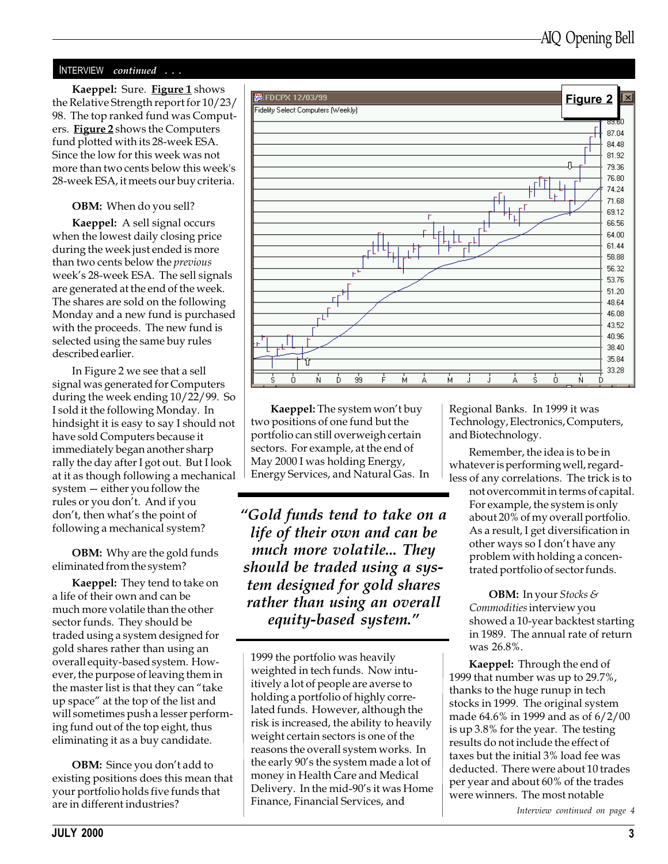#### INTERVIEW continued . . .

the Relative Strength report for 10/23/ 98. The top ranked fund was Computers. Figure 2 shows the Computers fund plotted with its 28-week ESA. Since the low for this week was not more than two cents below this week's 28-week ESA, it meets our buy criteria.

#### OBM: When do you sell?

Kaeppel: A sell signal occurs when the lowest daily closing price during the week just ended is more than two cents below the previous week's 28-week ESA. The sell signals are generated at the end of the week. The shares are sold on the following Monday and a new fund is purchased with the proceeds. The new fund is selected using the same buy rules described earlier.

In Figure 2 we see that a sell signal was generated for Computers during the week ending 10/22/99. So I sold it the following Monday. In hindsight it is easy to say I should not have sold Computers because it immediately began another sharp rally the day after I got out. But I look at it as though following a mechanical  $s$ ystem  $-$  either you follow the rules or you don't. And if you don't, then what's the point of following a mechanical system?

OBM: Why are the gold funds eliminated from the system?

Kaeppel: They tend to take on a life of their own and can be much more volatile than the other sector funds. They should be traded using a system designed for gold shares rather than using an overall equity-based system. However, the purpose of leaving them in the master list is that they can "take" up space" at the top of the list and will sometimes push a lesser performing fund out of the top eight, thus eliminating it as a buy candidate.

**OBM:** Since you don't add to existing positions does this mean that your portfolio holds five funds that are in different industries?



Kaeppel: The system won't buy two positions of one fund but the portfolio can still overweigh certain sectors. For example, at the end of May 2000 I was holding Energy, Energy Services, and Natural Gas. In

Gold funds tend to take on a life of their own and can be much more volatile... They should be traded using a system designed for gold shares rather than using an overall equity-based system.

1999 the portfolio was heavily weighted in tech funds. Now intuitively a lot of people are averse to holding a portfolio of highly correlated funds. However, although the risk is increased, the ability to heavily weight certain sectors is one of the reasons the overall system works. In the early 90's the system made a lot of money in Health Care and Medical Delivery. In the mid-90's it was Home Finance, Financial Services, and

Regional Banks. In 1999 it was Technology, Electronics, Computers, and Biotechnology.

Remember, the idea is to be in whatever is performing well, regardless of any correlations. The trick is to

not overcommit in terms of capital. For example, the system is only about 20% of my overall portfolio. As a result, I get diversification in other ways so I don't have any problem with holding a concentrated portfolio of sector funds.

OBM: In your Stocks & Commodities interview you showed a 10-year backtest starting in 1989. The annual rate of return was 26.8%.

Kaeppel: Through the end of 1999 that number was up to 29.7%, thanks to the huge runup in tech stocks in 1999. The original system made 64.6% in 1999 and as of 6/2/00 is up 3.8% for the year. The testing results do not include the effect of taxes but the initial 3% load fee was deducted. There were about 10 trades per year and about 60% of the trades were winners. The most notable

Interview continued on page 4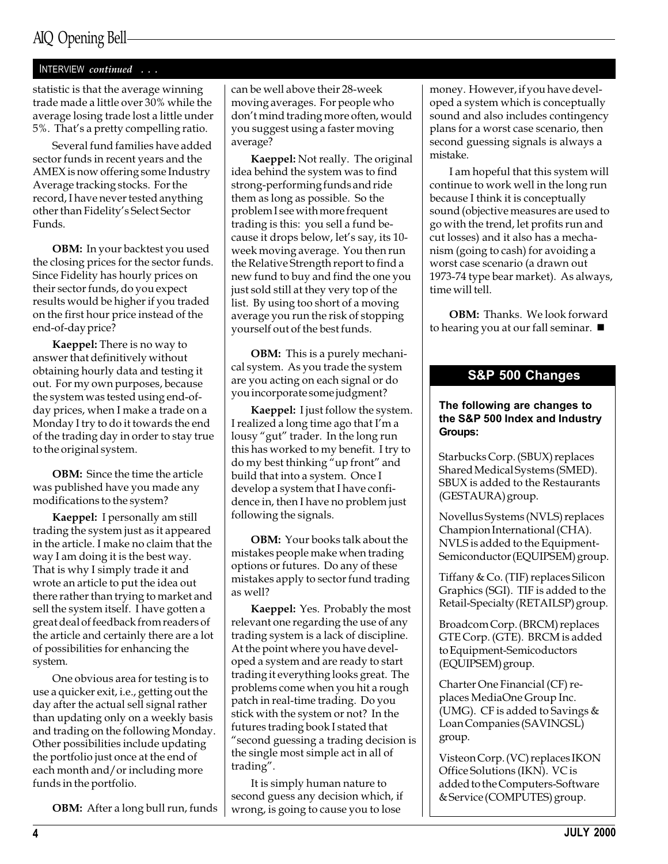## AIQ Opening Bell

#### INTERVIEW continued . . .

statistic is that the average winning trade made a little over 30% while the average losing trade lost a little under 5%. That's a pretty compelling ratio.

Several fund families have added sector funds in recent years and the AMEX is now offering some Industry Average tracking stocks. For the record, I have never tested anything other than Fidelity's Select Sector Funds.

**OBM:** In your backtest you used the closing prices for the sector funds. Since Fidelity has hourly prices on their sector funds, do you expect results would be higher if you traded on the first hour price instead of the end-of-day price?

Kaeppel: There is no way to answer that definitively without obtaining hourly data and testing it out. For my own purposes, because the system was tested using end-ofday prices, when I make a trade on a Monday I try to do it towards the end of the trading day in order to stay true to the original system.

OBM: Since the time the article was published have you made any modifications to the system?

Kaeppel: I personally am still trading the system just as it appeared in the article. I make no claim that the way I am doing it is the best way. That is why I simply trade it and wrote an article to put the idea out there rather than trying to market and sell the system itself. I have gotten a great deal of feedback from readers of the article and certainly there are a lot of possibilities for enhancing the system.

One obvious area for testing is to use a quicker exit, i.e., getting out the day after the actual sell signal rather than updating only on a weekly basis and trading on the following Monday. Other possibilities include updating the portfolio just once at the end of each month and/or including more funds in the portfolio.

OBM: After a long bull run, funds

can be well above their 28-week moving averages. For people who don't mind trading more often, would you suggest using a faster moving average?

Kaeppel: Not really. The original idea behind the system was to find strong-performing funds and ride them as long as possible. So the problem I see with more frequent trading is this: you sell a fund because it drops below, let's say, its 10week moving average. You then run the Relative Strength report to find a new fund to buy and find the one you just sold still at they very top of the list. By using too short of a moving average you run the risk of stopping yourself out of the best funds.

**OBM:** This is a purely mechanical system. As you trade the system are you acting on each signal or do you incorporate some judgment?

Kaeppel: I just follow the system. I realized a long time ago that I'm a lousy "gut" trader. In the long run this has worked to my benefit. I try to do my best thinking "up front" and build that into a system. Once I develop a system that I have confidence in, then I have no problem just following the signals.

OBM: Your books talk about the mistakes people make when trading options or futures. Do any of these mistakes apply to sector fund trading as well?

Kaeppel: Yes. Probably the most relevant one regarding the use of any trading system is a lack of discipline. At the point where you have developed a system and are ready to start trading it everything looks great. The problems come when you hit a rough patch in real-time trading. Do you stick with the system or not? In the futures trading book I stated that second guessing a trading decision is the single most simple act in all of trading".

It is simply human nature to second guess any decision which, if wrong, is going to cause you to lose

money. However, if you have developed a system which is conceptually sound and also includes contingency plans for a worst case scenario, then second guessing signals is always a mistake.

I am hopeful that this system will continue to work well in the long run because I think it is conceptually sound (objective measures are used to go with the trend, let profits run and cut losses) and it also has a mechanism (going to cash) for avoiding a worst case scenario (a drawn out 1973-74 type bear market). As always, time will tell.

OBM: Thanks. We look forward to hearing you at our fall seminar.  $\blacksquare$ 

#### S&P 500 Changes

#### The following are changes to the S&P 500 Index and Industry Groups:

Starbucks Corp. (SBUX) replaces Shared Medical Systems (SMED). SBUX is added to the Restaurants (GESTAURA) group.

Novellus Systems (NVLS) replaces Champion International (CHA). NVLS is added to the Equipment-Semiconductor (EQUIPSEM) group.

Tiffany & Co. (TIF) replaces Silicon Graphics (SGI). TIF is added to the Retail-Specialty (RETAILSP) group.

Broadcom Corp. (BRCM) replaces GTE Corp. (GTE). BRCM is added to Equipment-Semicoductors (EQUIPSEM) group.

Charter One Financial (CF) replaces MediaOne Group Inc. (UMG). CF is added to Savings & Loan Companies (SAVINGSL) group.

Visteon Corp. (VC) replaces IKON Office Solutions (IKN). VC is added to the Computers-Software & Service (COMPUTES) group.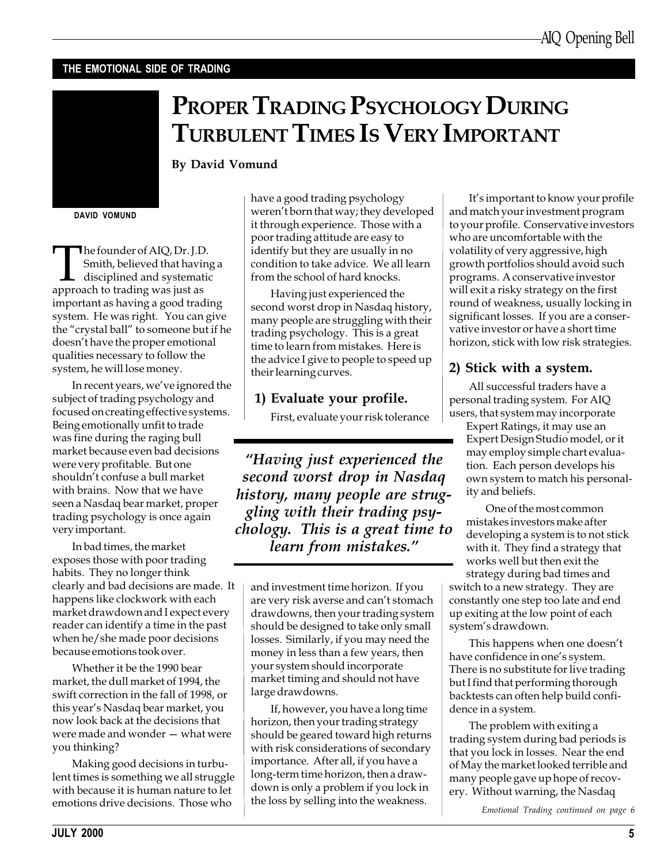#### THE EMOTIONAL SIDE OF TRADING

By David Vomund



DAVID VOMUND

The founder of AIQ, Dr. J.D.<br>
Smith, believed that havin<br>
disciplined and systematic<br>
approach to trading was just as Smith, believed that having a disciplined and systematic important as having a good trading system. He was right. You can give the "crystal ball" to someone but if he doesn't have the proper emotional qualities necessary to follow the system, he will lose money.

In recent years, we've ignored the subject of trading psychology and focused on creating effective systems. Being emotionally unfit to trade was fine during the raging bull market because even bad decisions were very profitable. But one shouldn't confuse a bull market with brains. Now that we have seen a Nasdaq bear market, proper trading psychology is once again very important.

In bad times, the market exposes those with poor trading habits. They no longer think clearly and bad decisions are made. It happens like clockwork with each market drawdown and I expect every reader can identify a time in the past when he/she made poor decisions because emotions took over.

Whether it be the 1990 bear market, the dull market of 1994, the swift correction in the fall of 1998, or this year's Nasdaq bear market, you now look back at the decisions that were made and wonder  $-$  what were you thinking?

Making good decisions in turbulent times is something we all struggle with because it is human nature to let emotions drive decisions. Those who

have a good trading psychology weren't born that way; they developed it through experience. Those with a poor trading attitude are easy to identify but they are usually in no condition to take advice. We all learn from the school of hard knocks.

PROPER TRADING PSYCHOLOGY DURING

TURBULENT TIMES IS VERY IMPORTANT

Having just experienced the second worst drop in Nasdaq history, many people are struggling with their trading psychology. This is a great time to learn from mistakes. Here is the advice I give to people to speed up their learning curves.

#### 1) Evaluate your profile.

First, evaluate your risk tolerance

Having just experienced the second worst drop in Nasdaq history, many people are struggling with their trading psychology. This is a great time to learn from mistakes.

and investment time horizon. If you are very risk averse and can't stomach drawdowns, then your trading system should be designed to take only small losses. Similarly, if you may need the money in less than a few years, then your system should incorporate market timing and should not have large drawdowns.

If, however, you have a long time horizon, then your trading strategy should be geared toward high returns with risk considerations of secondary importance. After all, if you have a long-term time horizon, then a drawdown is only a problem if you lock in the loss by selling into the weakness.

It's important to know your profile and match your investment program to your profile. Conservative investors who are uncomfortable with the volatility of very aggressive, high growth portfolios should avoid such programs. A conservative investor will exit a risky strategy on the first round of weakness, usually locking in significant losses. If you are a conservative investor or have a short time horizon, stick with low risk strategies.

### 2) Stick with a system.

All successful traders have a personal trading system. For AIQ users, that system may incorporate

Expert Ratings, it may use an Expert Design Studio model, or it may employ simple chart evaluation. Each person develops his own system to match his personality and beliefs.

One of the most common mistakes investors make after developing a system is to not stick with it. They find a strategy that works well but then exit the strategy during bad times and switch to a new strategy. They are constantly one step too late and end

up exiting at the low point of each system's drawdown.

This happens when one doesn't have confidence in one's system. There is no substitute for live trading but I find that performing thorough backtests can often help build confidence in a system.

The problem with exiting a trading system during bad periods is that you lock in losses. Near the end of May the market looked terrible and many people gave up hope of recovery. Without warning, the Nasdaq

Emotional Trading continued on page 6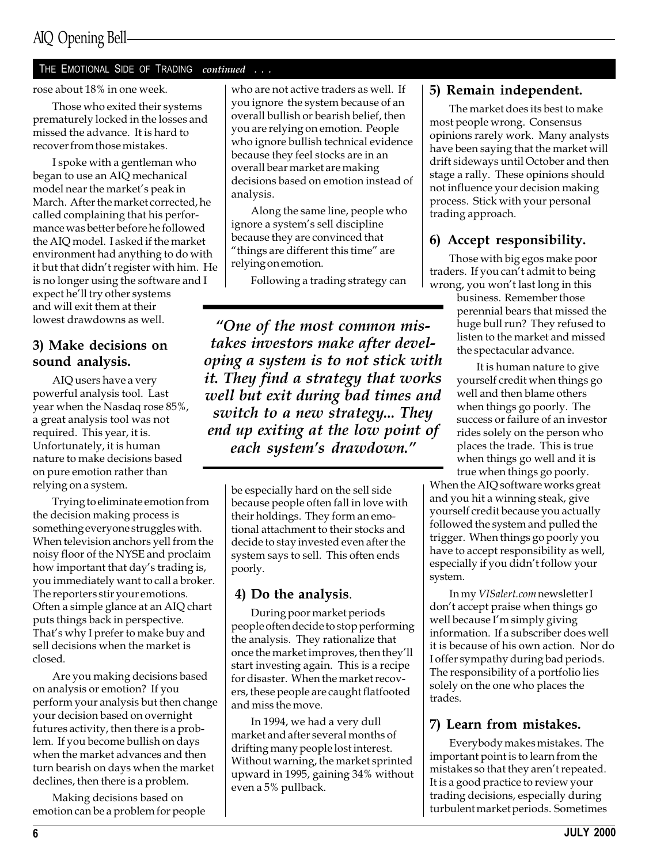## AIQ Opening Bell

#### THE EMOTIONAL SIDE OF TRADING continued . . .

#### rose about 18% in one week.

Those who exited their systems prematurely locked in the losses and missed the advance. It is hard to recover from those mistakes.

I spoke with a gentleman who began to use an AIQ mechanical model near the market's peak in March. After the market corrected, he called complaining that his performance was better before he followed the AIQ model. I asked if the market environment had anything to do with it but that didn't register with him. He is no longer using the software and I expect he'll try other systems and will exit them at their lowest drawdowns as well.

#### 3) Make decisions on sound analysis.

AIQ users have a very powerful analysis tool. Last year when the Nasdaq rose 85%, a great analysis tool was not required. This year, it is. Unfortunately, it is human nature to make decisions based on pure emotion rather than relying on a system.

Trying to eliminate emotion from the decision making process is something everyone struggles with. When television anchors yell from the noisy floor of the NYSE and proclaim how important that day's trading is, you immediately want to call a broker. The reporters stir your emotions. Often a simple glance at an AIQ chart puts things back in perspective. That's why I prefer to make buy and sell decisions when the market is closed.

Are you making decisions based on analysis or emotion? If you perform your analysis but then change your decision based on overnight futures activity, then there is a problem. If you become bullish on days when the market advances and then turn bearish on days when the market declines, then there is a problem.

Making decisions based on emotion can be a problem for people who are not active traders as well. If you ignore the system because of an overall bullish or bearish belief, then you are relying on emotion. People who ignore bullish technical evidence because they feel stocks are in an overall bear market are making decisions based on emotion instead of analysis.

Along the same line, people who ignore a system's sell discipline because they are convinced that "things are different this time" are relying on emotion.

Following a trading strategy can

One of the most common mistakes investors make after developing a system is to not stick with it. They find a strategy that works well but exit during bad times and switch to a new strategy... They end up exiting at the low point of each system's drawdown."

> be especially hard on the sell side because people often fall in love with their holdings. They form an emotional attachment to their stocks and decide to stay invested even after the system says to sell. This often ends poorly.

#### 4) Do the analysis.

During poor market periods people often decide to stop performing the analysis. They rationalize that once the market improves, then they'll start investing again. This is a recipe for disaster. When the market recovers, these people are caught flatfooted and miss the move.

In 1994, we had a very dull market and after several months of drifting many people lost interest. Without warning, the market sprinted upward in 1995, gaining 34% without even a 5% pullback.

#### 5) Remain independent.

The market does its best to make most people wrong. Consensus opinions rarely work. Many analysts have been saying that the market will drift sideways until October and then stage a rally. These opinions should not influence your decision making process. Stick with your personal trading approach.

#### 6) Accept responsibility.

Those with big egos make poor traders. If you can't admit to being wrong, you won't last long in this

> business. Remember those perennial bears that missed the huge bull run? They refused to listen to the market and missed the spectacular advance.

> It is human nature to give yourself credit when things go well and then blame others when things go poorly. The success or failure of an investor rides solely on the person who places the trade. This is true when things go well and it is true when things go poorly.

When the AIQ software works great and you hit a winning steak, give yourself credit because you actually followed the system and pulled the trigger. When things go poorly you have to accept responsibility as well, especially if you didn't follow your system.

In my VISalert.com newsletter I don't accept praise when things go well because I'm simply giving information. If a subscriber does well it is because of his own action. Nor do I offer sympathy during bad periods. The responsibility of a portfolio lies solely on the one who places the trades.

#### 7) Learn from mistakes.

Everybody makes mistakes. The important point is to learn from the mistakes so that they aren't repeated. It is a good practice to review your trading decisions, especially during turbulent market periods. Sometimes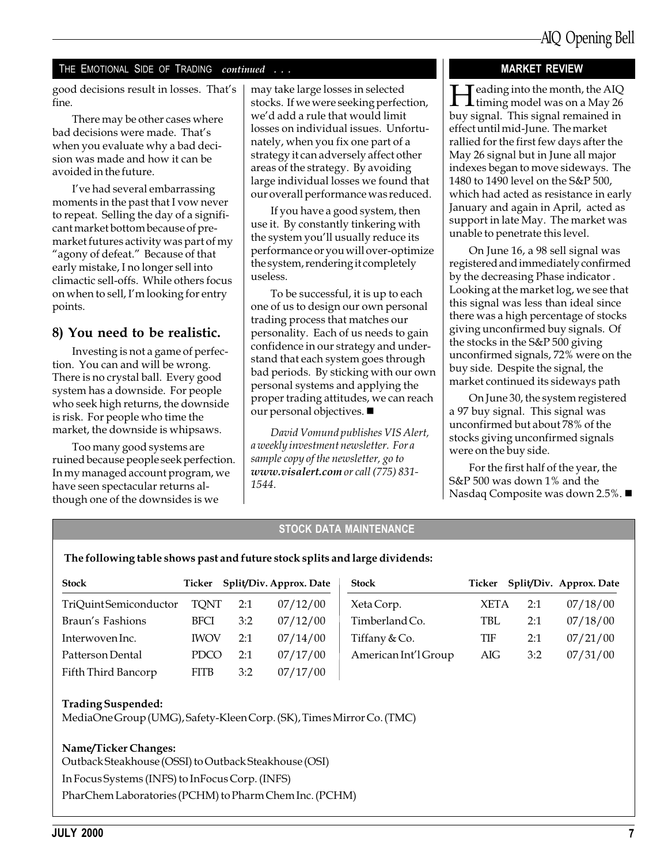#### THE EMOTIONAL SIDE OF TRADING continued . . .

good decisions result in losses. That's fine.

There may be other cases where bad decisions were made. That's when you evaluate why a bad decision was made and how it can be avoided in the future.

I've had several embarrassing moments in the past that I vow never to repeat. Selling the day of a significant market bottom because of premarket futures activity was part of my "agony of defeat." Because of that early mistake, I no longer sell into climactic sell-offs. While others focus on when to sell, I'm looking for entry points.

#### 8) You need to be realistic.

Investing is not a game of perfection. You can and will be wrong. There is no crystal ball. Every good system has a downside. For people who seek high returns, the downside is risk. For people who time the market, the downside is whipsaws.

Too many good systems are ruined because people seek perfection. In my managed account program, we have seen spectacular returns although one of the downsides is we

may take large losses in selected stocks. If we were seeking perfection, we'd add a rule that would limit losses on individual issues. Unfortunately, when you fix one part of a strategy it can adversely affect other areas of the strategy. By avoiding large individual losses we found that our overall performance was reduced.

If you have a good system, then use it. By constantly tinkering with the system you'll usually reduce its performance or you will over-optimize the system, rendering it completely useless.

To be successful, it is up to each one of us to design our own personal trading process that matches our personality. Each of us needs to gain confidence in our strategy and understand that each system goes through bad periods. By sticking with our own personal systems and applying the proper trading attitudes, we can reach our personal objectives.  $\blacksquare$ 

David Vomund publishes VIS Alert, a weekly investment newsletter. For a sample copy of the newsletter, go to www.visalert.com or call (775) 831- 1544.

#### MARKET REVIEW

 $\blacksquare$  eading into the month, the AIQ **L** timing model was on a May 26 buy signal. This signal remained in effect until mid-June. The market rallied for the first few days after the May 26 signal but in June all major indexes began to move sideways. The 1480 to 1490 level on the S&P 500, which had acted as resistance in early January and again in April, acted as support in late May. The market was unable to penetrate this level.

On June 16, a 98 sell signal was registered and immediately confirmed by the decreasing Phase indicator . Looking at the market log, we see that this signal was less than ideal since there was a high percentage of stocks giving unconfirmed buy signals. Of the stocks in the S&P 500 giving unconfirmed signals, 72% were on the buy side. Despite the signal, the market continued its sideways path

On June 30, the system registered a 97 buy signal. This signal was unconfirmed but about 78% of the stocks giving unconfirmed signals were on the buy side.

For the first half of the year, the S&P 500 was down 1% and the Nasdaq Composite was down 2.5%.  $\blacksquare$ 

#### STOCK DATA MAINTENANCE

#### The following table shows past and future stock splits and large dividends:

| <b>Stock</b>          |             |     | Ticker Split/Div. Approx. Date | <b>Stock</b>         |             |     | Ticker Split/Div. Approx. Date |
|-----------------------|-------------|-----|--------------------------------|----------------------|-------------|-----|--------------------------------|
| TriQuintSemiconductor | TQNT        | 2:1 | 07/12/00                       | Xeta Corp.           | <b>XETA</b> | 2:1 | 07/18/00                       |
| Braun's Fashions      | <b>BFCI</b> | 3:2 | 07/12/00                       | Timberland Co.       | <b>TBL</b>  | 2:1 | 07/18/00                       |
| Interwoven Inc.       | <b>IWOV</b> | 2:1 | 07/14/00                       | Tiffany $&Co.$       | TIF         | 2:1 | 07/21/00                       |
| Patterson Dental      | <b>PDCO</b> | 2:1 | 07/17/00                       | American Int'l Group | AIG         | 3:2 | 07/31/00                       |
| Fifth Third Bancorp   | <b>FITB</b> | 3:2 | 07/17/00                       |                      |             |     |                                |

#### Trading Suspended:

MediaOne Group (UMG), Safety-Kleen Corp. (SK), Times Mirror Co. (TMC)

#### Name/Ticker Changes:

Outback Steakhouse (OSSI) to Outback Steakhouse (OSI)

In Focus Systems (INFS) to InFocus Corp. (INFS)

PharChem Laboratories (PCHM) to Pharm Chem Inc. (PCHM)